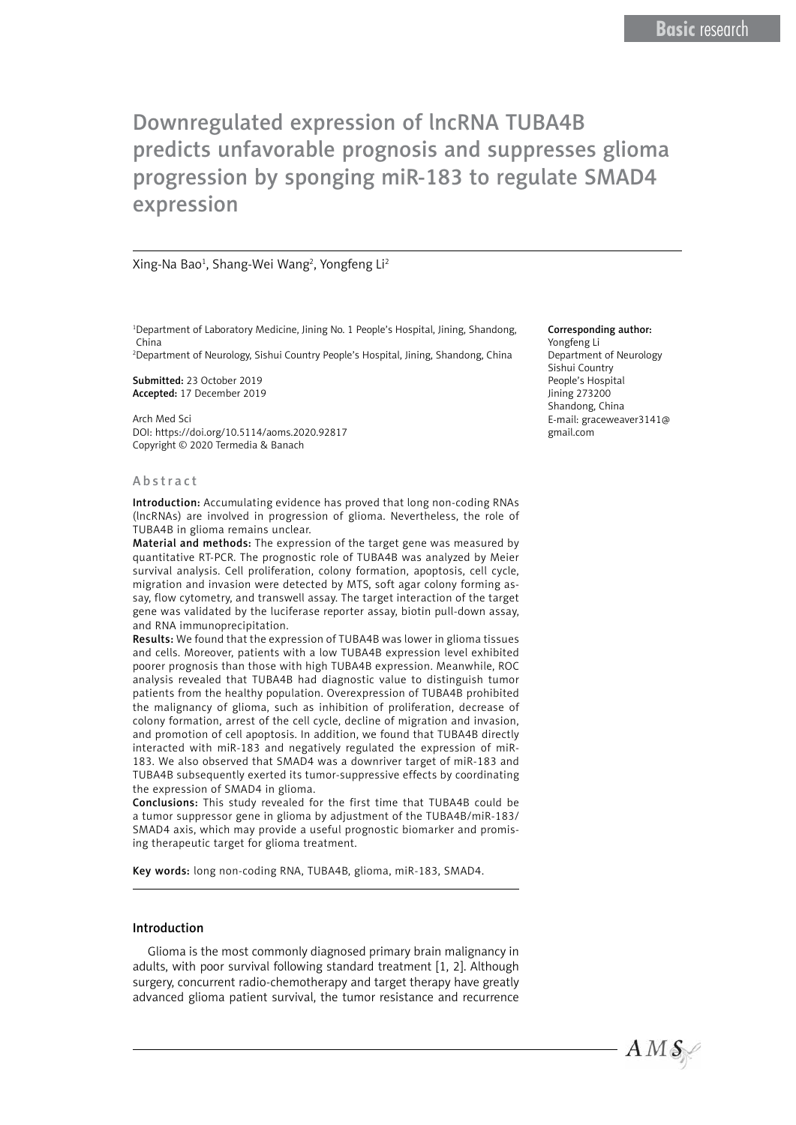#### Xing-Na Bao<sup>1</sup>, Shang-Wei Wang<sup>2</sup>, Yongfeng Li<sup>2</sup>

1 Department of Laboratory Medicine, Jining No. 1 People's Hospital, Jining, Shandong, China

2 Department of Neurology, Sishui Country People's Hospital, Jining, Shandong, China

Submitted: 23 October 2019 Accepted: 17 December 2019

Arch Med Sci DOI: https://doi.org/10.5114/aoms.2020.92817 Copyright © 2020 Termedia & Banach

#### Abstract

Introduction: Accumulating evidence has proved that long non-coding RNAs (lncRNAs) are involved in progression of glioma. Nevertheless, the role of TUBA4B in glioma remains unclear.

Material and methods: The expression of the target gene was measured by quantitative RT-PCR. The prognostic role of TUBA4B was analyzed by Meier survival analysis. Cell proliferation, colony formation, apoptosis, cell cycle, migration and invasion were detected by MTS, soft agar colony forming assay, flow cytometry, and transwell assay. The target interaction of the target gene was validated by the luciferase reporter assay, biotin pull-down assay, and RNA immunoprecipitation.

Results: We found that the expression of TUBA4B was lower in glioma tissues and cells. Moreover, patients with a low TUBA4B expression level exhibited poorer prognosis than those with high TUBA4B expression. Meanwhile, ROC analysis revealed that TUBA4B had diagnostic value to distinguish tumor patients from the healthy population. Overexpression of TUBA4B prohibited the malignancy of glioma, such as inhibition of proliferation, decrease of colony formation, arrest of the cell cycle, decline of migration and invasion, and promotion of cell apoptosis. In addition, we found that TUBA4B directly interacted with miR-183 and negatively regulated the expression of miR-183. We also observed that SMAD4 was a downriver target of miR-183 and TUBA4B subsequently exerted its tumor-suppressive effects by coordinating the expression of SMAD4 in glioma.

Conclusions: This study revealed for the first time that TUBA4B could be a tumor suppressor gene in glioma by adjustment of the TUBA4B/miR-183/ SMAD4 axis, which may provide a useful prognostic biomarker and promising therapeutic target for glioma treatment.

Key words: long non-coding RNA, TUBA4B, glioma, miR-183, SMAD4.

#### Introduction

Glioma is the most commonly diagnosed primary brain malignancy in adults, with poor survival following standard treatment [1, 2]. Although surgery, concurrent radio-chemotherapy and target therapy have greatly advanced glioma patient survival, the tumor resistance and recurrence

#### Corresponding author:

Yongfeng Li Department of Neurology Sishui Country People's Hospital Jining 273200 Shandong, China E-mail: [graceweaver3141@](mailto:graceweaver3141@gmail.com) [gmail.com](mailto:graceweaver3141@gmail.com)

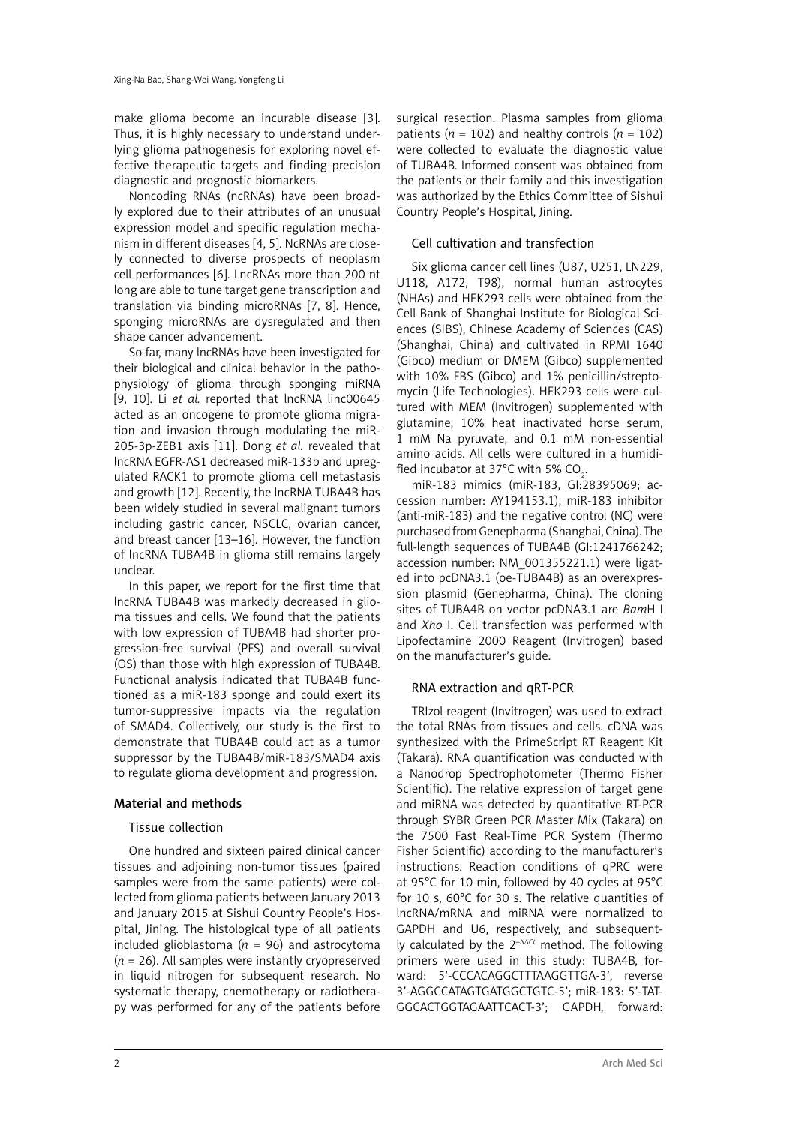make glioma become an incurable disease [3]. Thus, it is highly necessary to understand underlying glioma pathogenesis for exploring novel effective therapeutic targets and finding precision diagnostic and prognostic biomarkers.

Noncoding RNAs (ncRNAs) have been broadly explored due to their attributes of an unusual expression model and specific regulation mechanism in different diseases [4, 5]. NcRNAs are closely connected to diverse prospects of neoplasm cell performances [6]. LncRNAs more than 200 nt long are able to tune target gene transcription and translation via binding microRNAs [7, 8]. Hence, sponging microRNAs are dysregulated and then shape cancer advancement.

So far, many lncRNAs have been investigated for their biological and clinical behavior in the pathophysiology of glioma through sponging miRNA [9, 10]. Li *et al.* reported that lncRNA linc00645 acted as an oncogene to promote glioma migration and invasion through modulating the miR-205-3p-ZEB1 axis [11]. Dong *et al.* revealed that lncRNA EGFR-AS1 decreased miR-133b and upregulated RACK1 to promote glioma cell metastasis and growth [12]. Recently, the lncRNA TUBA4B has been widely studied in several malignant tumors including gastric cancer, NSCLC, ovarian cancer, and breast cancer [13–16]. However, the function of lncRNA TUBA4B in glioma still remains largely unclear.

In this paper, we report for the first time that lncRNA TUBA4B was markedly decreased in glioma tissues and cells. We found that the patients with low expression of TUBA4B had shorter progression-free survival (PFS) and overall survival (OS) than those with high expression of TUBA4B. Functional analysis indicated that TUBA4B functioned as a miR-183 sponge and could exert its tumor-suppressive impacts via the regulation of SMAD4. Collectively, our study is the first to demonstrate that TUBA4B could act as a tumor suppressor by the TUBA4B/miR-183/SMAD4 axis to regulate glioma development and progression.

# Material and methods

# Tissue collection

One hundred and sixteen paired clinical cancer tissues and adjoining non-tumor tissues (paired samples were from the same patients) were collected from glioma patients between January 2013 and January 2015 at Sishui Country People's Hospital, Jining. The histological type of all patients included glioblastoma ( $n = 96$ ) and astrocytoma (*n* = 26). All samples were instantly cryopreserved in liquid nitrogen for subsequent research. No systematic therapy, chemotherapy or radiotherapy was performed for any of the patients before

surgical resection. Plasma samples from glioma patients ( $n = 102$ ) and healthy controls ( $n = 102$ ) were collected to evaluate the diagnostic value of TUBA4B. Informed consent was obtained from the patients or their family and this investigation was authorized by the Ethics Committee of Sishui Country People's Hospital, Jining.

# Cell cultivation and transfection

Six glioma cancer cell lines (U87, U251, LN229, U118, A172, T98), normal human astrocytes (NHAs) and HEK293 cells were obtained from the Cell Bank of Shanghai Institute for Biological Sciences (SIBS), Chinese Academy of Sciences (CAS) (Shanghai, China) and cultivated in RPMI 1640 (Gibco) medium or DMEM (Gibco) supplemented with 10% FBS (Gibco) and 1% penicillin/streptomycin (Life Technologies). HEK293 cells were cultured with MEM (Invitrogen) supplemented with glutamine, 10% heat inactivated horse serum, 1 mM Na pyruvate, and 0.1 mM non-essential amino acids. All cells were cultured in a humidified incubator at 37°C with 5% CO<sub>2</sub>.

miR-183 mimics (miR-183, GI:28395069; accession number: AY194153.1), miR-183 inhibitor (anti-miR-183) and the negative control (NC) were purchased from Genepharma (Shanghai, China). The full-length sequences of TUBA4B (GI:1241766242; accession number: NM\_001355221.1) were ligated into pcDNA3.1 (oe-TUBA4B) as an overexpression plasmid (Genepharma, China). The cloning sites of TUBA4B on vector pcDNA3.1 are *Bam*H I and *Xho* I. Cell transfection was performed with Lipofectamine 2000 Reagent (Invitrogen) based on the manufacturer's guide.

# RNA extraction and qRT-PCR

TRIzol reagent (Invitrogen) was used to extract the total RNAs from tissues and cells. cDNA was synthesized with the PrimeScript RT Reagent Kit (Takara). RNA quantification was conducted with a Nanodrop Spectrophotometer (Thermo Fisher Scientific). The relative expression of target gene and miRNA was detected by quantitative RT-PCR through SYBR Green PCR Master Mix (Takara) on the 7500 Fast Real-Time PCR System (Thermo Fisher Scientific) according to the manufacturer's instructions. Reaction conditions of qPRC were at 95°C for 10 min, followed by 40 cycles at 95°C for 10 s, 60°C for 30 s. The relative quantities of lncRNA/mRNA and miRNA were normalized to GAPDH and U6, respectively, and subsequently calculated by the 2–ΔΔ*Ct* method. The following primers were used in this study: TUBA4B, forward: 5'-CCCACAGGCTTTAAGGTTGA-3', reverse 3'-AGGCCATAGTGATGGCTGTC-5'; miR-183: 5'-TAT-GGCACTGGTAGAATTCACT-3'; GAPDH, forward: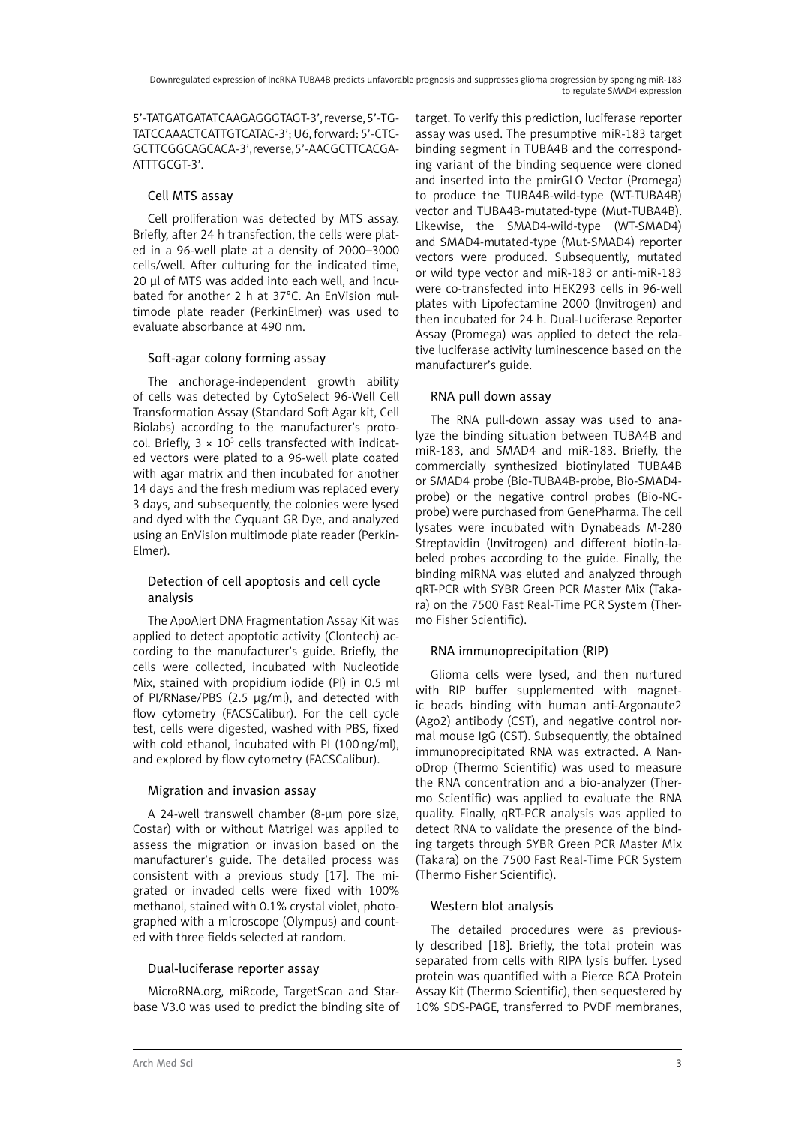5'-TATGATGATATCAAGAGGGTAGT-3', reverse, 5'-TG-TATCCAAACTCATTGTCATAC-3'; U6, forward: 5'-CTC-GCTTCGGCAGCACA-3', reverse, 5'-AACGCTTCACGA-ATTTGCGT-3'.

# Cell MTS assay

Cell proliferation was detected by MTS assay. Briefly, after 24 h transfection, the cells were plated in a 96-well plate at a density of 2000–3000 cells/well. After culturing for the indicated time, 20 μl of MTS was added into each well, and incubated for another 2 h at 37°C. An EnVision multimode plate reader (PerkinElmer) was used to evaluate absorbance at 490 nm.

# Soft-agar colony forming assay

The anchorage-independent growth ability of cells was detected by CytoSelect 96-Well Cell Transformation Assay (Standard Soft Agar kit, Cell Biolabs) according to the manufacturer's protocol. Briefly,  $3 \times 10^3$  cells transfected with indicated vectors were plated to a 96-well plate coated with agar matrix and then incubated for another 14 days and the fresh medium was replaced every 3 days, and subsequently, the colonies were lysed and dyed with the Cyquant GR Dye, and analyzed using an EnVision multimode plate reader (Perkin-Elmer).

# Detection of cell apoptosis and cell cycle analysis

The ApoAlert DNA Fragmentation Assay Kit was applied to detect apoptotic activity (Clontech) according to the manufacturer's guide. Briefly, the cells were collected, incubated with Nucleotide Mix, stained with propidium iodide (PI) in 0.5 ml of PI/RNase/PBS  $(2.5 \text{ µg/ml})$ , and detected with flow cytometry (FACSCalibur). For the cell cycle test, cells were digested, washed with PBS, fixed with cold ethanol, incubated with PI (100ng/ml), and explored by flow cytometry (FACSCalibur).

# Migration and invasion assay

A 24-well transwell chamber (8-um pore size, Costar) with or without Matrigel was applied to assess the migration or invasion based on the manufacturer's guide. The detailed process was consistent with a previous study [17]. The migrated or invaded cells were fixed with 100% methanol, stained with 0.1% crystal violet, photographed with a microscope (Olympus) and counted with three fields selected at random.

# Dual-luciferase reporter assay

MicroRNA.org, miRcode, TargetScan and Starbase V3.0 was used to predict the binding site of target. To verify this prediction, luciferase reporter assay was used. The presumptive miR-183 target binding segment in TUBA4B and the corresponding variant of the binding sequence were cloned and inserted into the pmirGLO Vector (Promega) to produce the TUBA4B-wild-type (WT-TUBA4B) vector and TUBA4B-mutated-type (Mut-TUBA4B). Likewise, the SMAD4-wild-type (WT-SMAD4) and SMAD4-mutated-type (Mut-SMAD4) reporter vectors were produced. Subsequently, mutated or wild type vector and miR-183 or anti-miR-183 were co-transfected into HEK293 cells in 96-well plates with Lipofectamine 2000 (Invitrogen) and then incubated for 24 h. Dual-Luciferase Reporter Assay (Promega) was applied to detect the relative luciferase activity luminescence based on the manufacturer's guide.

# RNA pull down assay

The RNA pull-down assay was used to analyze the binding situation between TUBA4B and miR-183, and SMAD4 and miR-183. Briefly, the commercially synthesized biotinylated TUBA4B or SMAD4 probe (Bio-TUBA4B-probe, Bio-SMAD4 probe) or the negative control probes (Bio-NCprobe) were purchased from GenePharma. The cell lysates were incubated with Dynabeads M-280 Streptavidin (Invitrogen) and different biotin-labeled probes according to the guide. Finally, the binding miRNA was eluted and analyzed through qRT-PCR with SYBR Green PCR Master Mix (Takara) on the 7500 Fast Real-Time PCR System (Thermo Fisher Scientific).

# RNA immunoprecipitation (RIP)

Glioma cells were lysed, and then nurtured with RIP buffer supplemented with magnetic beads binding with human anti-Argonaute2 (Ago2) antibody (CST), and negative control normal mouse IgG (CST). Subsequently, the obtained immunoprecipitated RNA was extracted. A NanoDrop (Thermo Scientific) was used to measure the RNA concentration and a bio-analyzer (Thermo Scientific) was applied to evaluate the RNA quality. Finally, qRT-PCR analysis was applied to detect RNA to validate the presence of the binding targets through SYBR Green PCR Master Mix (Takara) on the 7500 Fast Real-Time PCR System (Thermo Fisher Scientific).

# Western blot analysis

The detailed procedures were as previously described [18]. Briefly, the total protein was separated from cells with RIPA lysis buffer. Lysed protein was quantified with a Pierce BCA Protein Assay Kit (Thermo Scientific), then sequestered by 10% SDS-PAGE, transferred to PVDF membranes,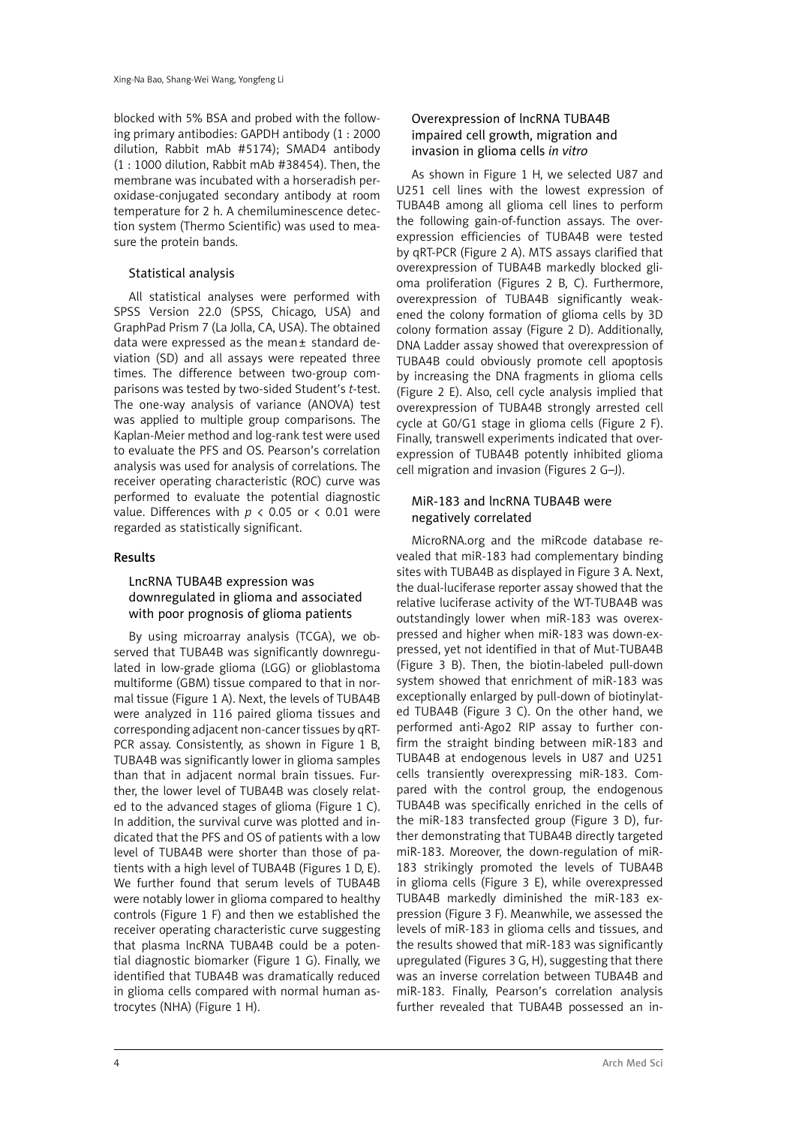blocked with 5% BSA and probed with the following primary antibodies: GAPDH antibody (1 : 2000 dilution, Rabbit mAb #5174); SMAD4 antibody (1 : 1000 dilution, Rabbit mAb #38454). Then, the membrane was incubated with a horseradish peroxidase-conjugated secondary antibody at room temperature for 2 h. A chemiluminescence detection system (Thermo Scientific) was used to measure the protein bands.

### Statistical analysis

All statistical analyses were performed with SPSS Version 22.0 (SPSS, Chicago, USA) and GraphPad Prism 7 (La Jolla, CA, USA). The obtained data were expressed as the mean± standard deviation (SD) and all assays were repeated three times. The difference between two-group comparisons was tested by two-sided Student's *t*-test. The one-way analysis of variance (ANOVA) test was applied to multiple group comparisons. The Kaplan-Meier method and log-rank test were used to evaluate the PFS and OS. Pearson's correlation analysis was used for analysis of correlations. The receiver operating characteristic (ROC) curve was performed to evaluate the potential diagnostic value. Differences with  $p < 0.05$  or  $< 0.01$  were regarded as statistically significant.

### Results

#### LncRNA TUBA4B expression was downregulated in glioma and associated with poor prognosis of glioma patients

By using microarray analysis (TCGA), we observed that TUBA4B was significantly downregulated in low-grade glioma (LGG) or glioblastoma multiforme (GBM) tissue compared to that in normal tissue (Figure 1 A). Next, the levels of TUBA4B were analyzed in 116 paired glioma tissues and corresponding adjacent non-cancer tissues by qRT-PCR assay. Consistently, as shown in Figure 1 B, TUBA4B was significantly lower in glioma samples than that in adjacent normal brain tissues. Further, the lower level of TUBA4B was closely related to the advanced stages of glioma (Figure 1 C). In addition, the survival curve was plotted and indicated that the PFS and OS of patients with a low level of TUBA4B were shorter than those of patients with a high level of TUBA4B (Figures 1 D, E). We further found that serum levels of TUBA4B were notably lower in glioma compared to healthy controls (Figure 1 F) and then we established the receiver operating characteristic curve suggesting that plasma lncRNA TUBA4B could be a potential diagnostic biomarker (Figure 1 G). Finally, we identified that TUBA4B was dramatically reduced in glioma cells compared with normal human astrocytes (NHA) (Figure 1 H).

# Overexpression of lncRNA TUBA4B impaired cell growth, migration and invasion in glioma cells *in vitro*

As shown in Figure 1 H, we selected U87 and U251 cell lines with the lowest expression of TUBA4B among all glioma cell lines to perform the following gain-of-function assays. The overexpression efficiencies of TUBA4B were tested by qRT-PCR (Figure 2 A). MTS assays clarified that overexpression of TUBA4B markedly blocked glioma proliferation (Figures 2 B, C). Furthermore, overexpression of TUBA4B significantly weakened the colony formation of glioma cells by 3D colony formation assay (Figure 2 D). Additionally, DNA Ladder assay showed that overexpression of TUBA4B could obviously promote cell apoptosis by increasing the DNA fragments in glioma cells (Figure 2 E). Also, cell cycle analysis implied that overexpression of TUBA4B strongly arrested cell cycle at G0/G1 stage in glioma cells (Figure 2 F). Finally, transwell experiments indicated that overexpression of TUBA4B potently inhibited glioma cell migration and invasion (Figures 2 G–J).

### MiR-183 and lncRNA TUBA4B were negatively correlated

MicroRNA.org and the miRcode database revealed that miR-183 had complementary binding sites with TUBA4B as displayed in Figure 3 A. Next, the dual-luciferase reporter assay showed that the relative luciferase activity of the WT-TUBA4B was outstandingly lower when miR-183 was overexpressed and higher when miR-183 was down-expressed, yet not identified in that of Mut-TUBA4B (Figure 3 B). Then, the biotin-labeled pull-down system showed that enrichment of miR-183 was exceptionally enlarged by pull-down of biotinylated TUBA4B (Figure 3 C). On the other hand, we performed anti-Ago2 RIP assay to further confirm the straight binding between miR-183 and TUBA4B at endogenous levels in U87 and U251 cells transiently overexpressing miR-183. Compared with the control group, the endogenous TUBA4B was specifically enriched in the cells of the miR-183 transfected group (Figure 3 D), further demonstrating that TUBA4B directly targeted miR-183. Moreover, the down-regulation of miR-183 strikingly promoted the levels of TUBA4B in glioma cells (Figure 3 E), while overexpressed TUBA4B markedly diminished the miR-183 expression (Figure 3 F). Meanwhile, we assessed the levels of miR-183 in glioma cells and tissues, and the results showed that miR-183 was significantly upregulated (Figures 3 G, H), suggesting that there was an inverse correlation between TUBA4B and miR-183. Finally, Pearson's correlation analysis further revealed that TUBA4B possessed an in-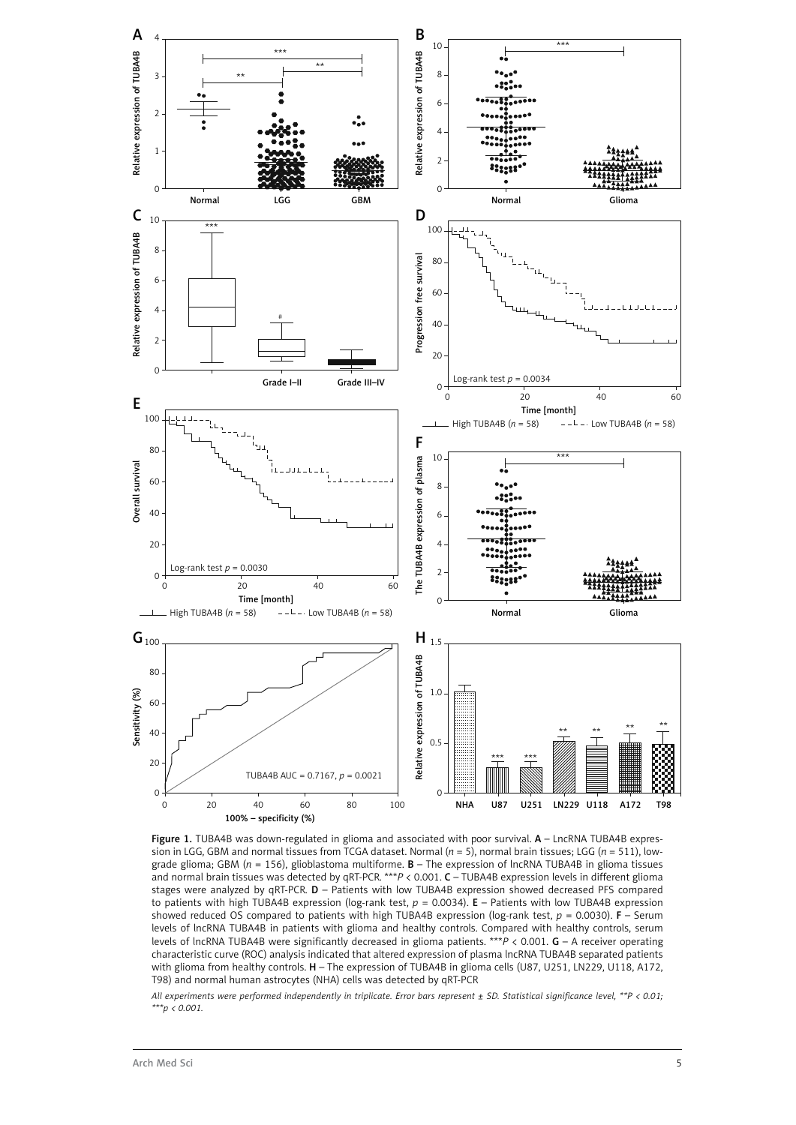

Figure 1. TUBA4B was down-regulated in glioma and associated with poor survival. A - LncRNA TUBA4B expression in LGG, GBM and normal tissues from TCGA dataset. Normal (*n* = 5), normal brain tissues; LGG (*n* = 511), lowgrade glioma; GBM (*n* = 156), glioblastoma multiforme. B – The expression of lncRNA TUBA4B in glioma tissues and normal brain tissues was detected by qRT-PCR. \*\*\**P* < 0.001. C – TUBA4B expression levels in different glioma stages were analyzed by qRT-PCR. D – Patients with low TUBA4B expression showed decreased PFS compared to patients with high TUBA4B expression (log-rank test, *p* = 0.0034). E – Patients with low TUBA4B expression showed reduced OS compared to patients with high TUBA4B expression (log-rank test,  $p = 0.0030$ ). **F** – Serum levels of lncRNA TUBA4B in patients with glioma and healthy controls. Compared with healthy controls, serum levels of lncRNA TUBA4B were significantly decreased in glioma patients. \*\*\**P* < 0.001. G – A receiver operating characteristic curve (ROC) analysis indicated that altered expression of plasma lncRNA TUBA4B separated patients with glioma from healthy controls. H – The expression of TUBA4B in glioma cells (U87, U251, LN229, U118, A172, T98) and normal human astrocytes (NHA) cells was detected by qRT-PCR

*All experiments were performed independently in triplicate. Error bars represent ± SD. Statistical significance level, \*\*P < 0.01; \*\*\*p < 0.001.*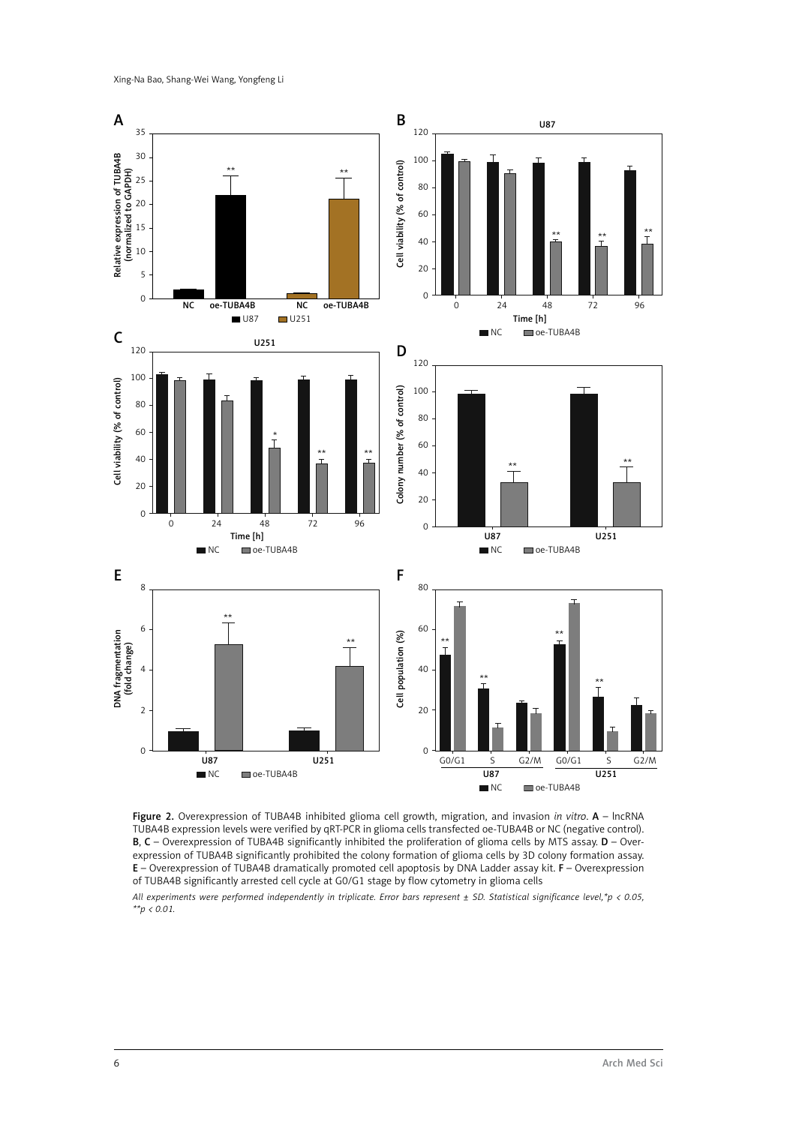Xing-Na Bao, Shang-Wei Wang, Yongfeng Li





*All experiments were performed independently in triplicate. Error bars represent ± SD. Statistical significance level,\*p < 0.05, \*\*p < 0.01.*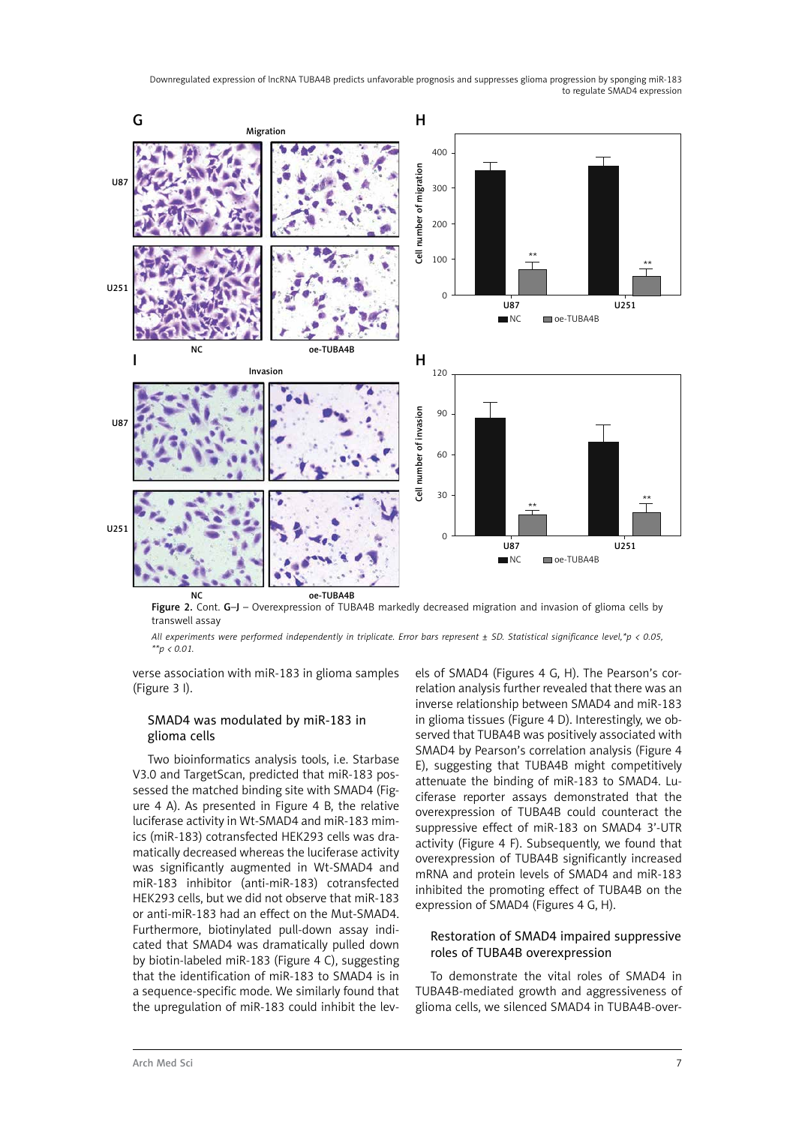

Figure 2. Cont. G-J – Overexpression of TUBA4B markedly decreased migration and invasion of glioma cells by transwell assay

*All experiments were performed independently in triplicate. Error bars represent ± SD. Statistical significance level,\*p < 0.05, \*\*p < 0.01.*

verse association with miR-183 in glioma samples (Figure 3 I).

#### SMAD4 was modulated by miR-183 in glioma cells

Two bioinformatics analysis tools, i.e. Starbase V3.0 and TargetScan, predicted that miR-183 possessed the matched binding site with SMAD4 (Figure 4 A). As presented in Figure 4 B, the relative luciferase activity in Wt-SMAD4 and miR-183 mimics (miR-183) cotransfected HEK293 cells was dramatically decreased whereas the luciferase activity was significantly augmented in Wt-SMAD4 and miR-183 inhibitor (anti-miR-183) cotransfected HEK293 cells, but we did not observe that miR-183 or anti-miR-183 had an effect on the Mut-SMAD4. Furthermore, biotinylated pull-down assay indicated that SMAD4 was dramatically pulled down by biotin-labeled miR-183 (Figure 4 C), suggesting that the identification of miR-183 to SMAD4 is in a sequence-specific mode. We similarly found that the upregulation of miR-183 could inhibit the lev-

els of SMAD4 (Figures 4 G, H). The Pearson's correlation analysis further revealed that there was an inverse relationship between SMAD4 and miR-183 in glioma tissues (Figure 4 D). Interestingly, we observed that TUBA4B was positively associated with SMAD4 by Pearson's correlation analysis (Figure 4 E), suggesting that TUBA4B might competitively attenuate the binding of miR-183 to SMAD4. Luciferase reporter assays demonstrated that the overexpression of TUBA4B could counteract the suppressive effect of miR-183 on SMAD4 3'-UTR activity (Figure 4 F). Subsequently, we found that overexpression of TUBA4B significantly increased mRNA and protein levels of SMAD4 and miR-183 inhibited the promoting effect of TUBA4B on the expression of SMAD4 (Figures 4 G, H).

#### Restoration of SMAD4 impaired suppressive roles of TUBA4B overexpression

To demonstrate the vital roles of SMAD4 in TUBA4B-mediated growth and aggressiveness of glioma cells, we silenced SMAD4 in TUBA4B-over-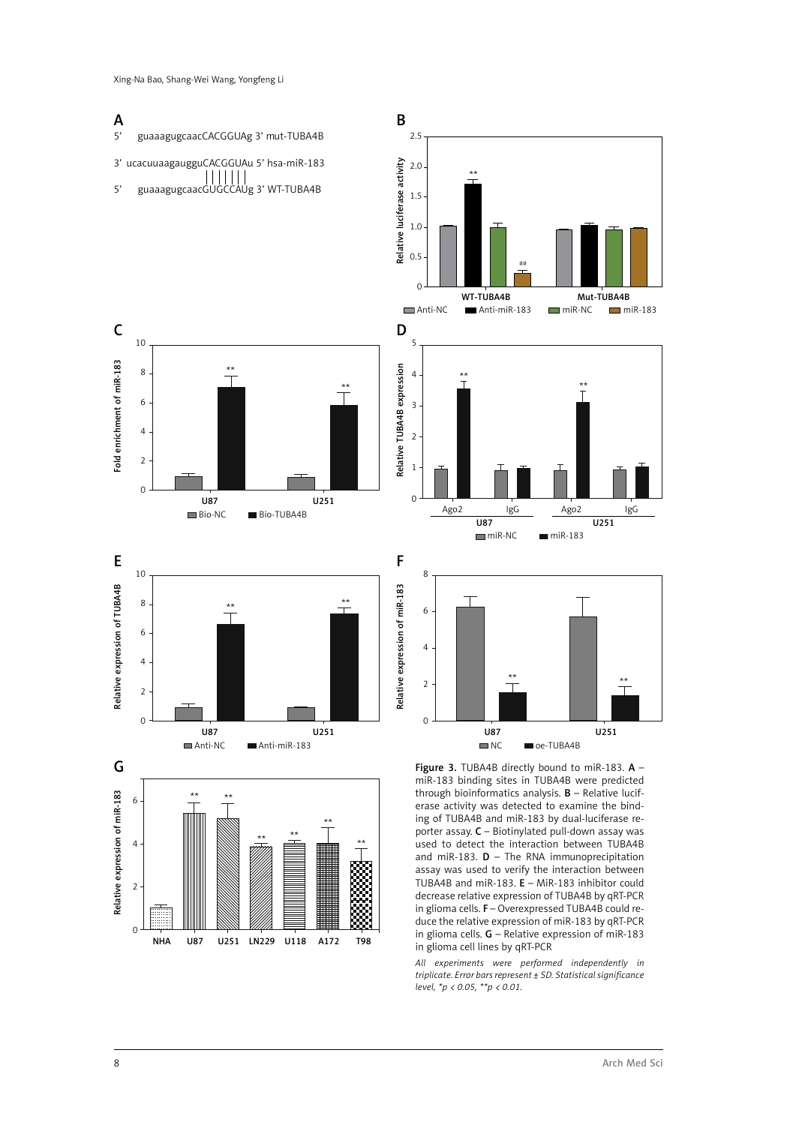#### A B 5' guaaagugcaacCACGGUAg 3' mut-TUBA4B 2.5 3' ucacuuaagaugguCACGGUAu 5' hsa-miR-183 Relative luciferase activity Relative luciferase activity 2.0 5' guaaagugcaacGUGCCAUg 3' WT-TUBA4B \*\* 1.5 1.0 0.5 ## 0 WT-TUBA4B Mut-TUBA4E ■ Anti-NC ■ Anti-miR-183 ■ miR-NC ■ miR-183 C D 10 5 Fold enrichment of miR-183 Fold enrichment of miR-183 Relative TUBA4B expression Relative TUBA4B expression 8 4  $\overline{\mathsf{T}}$ \*\* \*\* \*\* 6 3 4 2 2 1  $\Omega$  $\overline{0}$ U87 U251 Ago2 IgG Ago2 IgG Bio-NC Bio-TUBA4B  $\frac{1}{1087}$   $\frac{3}{10251}$  $min<sub>P</sub>N<sub>C</sub>$  miR-183 F E 10 8 Relative expression of TUBA4B Relative expression of miR-183 Relative expression of TUBA4B Relative expression of miR-183 8 \*\* \*\* 6 6 4 4 \*\*  $\overline{2}$ \*\* 2 0 0 U87 U251 U87 U251  $\blacksquare$  NC  $\blacksquare$  oe-TUBA4B Anti-NC **Anti-miR-183** G Figure 3. TUBA4B directly bound to miR-183. A miR-183 binding sites in TUBA4B were predicted Relative expression of miR-183 through bioinformatics analysis.  $B$  – Relative lucif-Relative expression of miR-183 \*\* \*\* 6 erase activity was detected to examine the binding of TUBA4B and miR-183 by dual-luciferase re-\*\* porter assay. C – Biotinylated pull-down assay was \*\* \*\* 4 used to detect the interaction between TUBA4B \*\* and miR-183.  $D$  – The RNA immunoprecipitation assay was used to verify the interaction between TUBA4B and miR-183. E – MiR-183 inhibitor could 2

decrease relative expression of TUBA4B by qRT-PCR in glioma cells. F – Overexpressed TUBA4B could reduce the relative expression of miR-183 by qRT-PCR in glioma cells. G – Relative expression of miR-183 in glioma cell lines by qRT-PCR

*All experiments were performed independently in triplicate. Error bars represent ± SD. Statistical significance level, \*p < 0.05, \*\*p < 0.01.*

0

NHA U87 U251 LN229 U118 A172 T98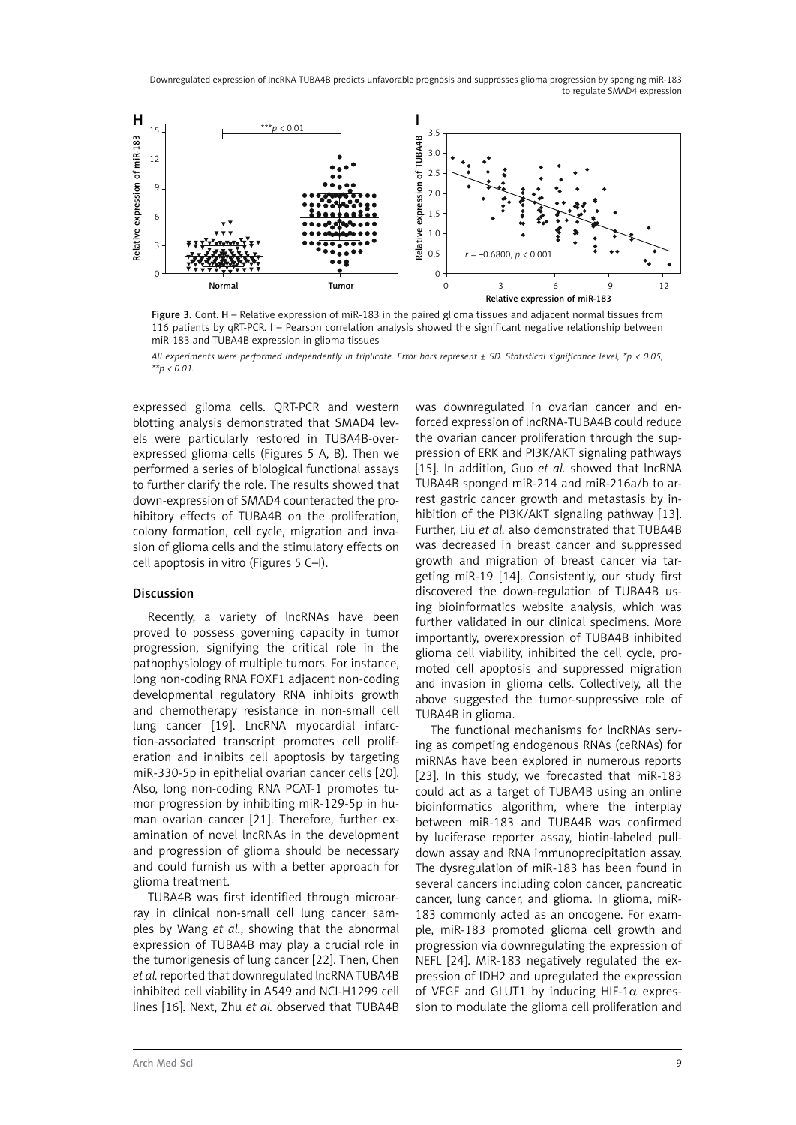

Figure 3. Cont. H – Relative expression of miR-183 in the paired glioma tissues and adjacent normal tissues from 116 patients by qRT-PCR. I – Pearson correlation analysis showed the significant negative relationship between miR-183 and TUBA4B expression in glioma tissues

*All experiments were performed independently in triplicate. Error bars represent ± SD. Statistical significance level, \*p < 0.05, \*\*p < 0.01.*

expressed glioma cells. QRT-PCR and western blotting analysis demonstrated that SMAD4 levels were particularly restored in TUBA4B-overexpressed glioma cells (Figures 5 A, B). Then we performed a series of biological functional assays to further clarify the role. The results showed that down-expression of SMAD4 counteracted the prohibitory effects of TUBA4B on the proliferation, colony formation, cell cycle, migration and invasion of glioma cells and the stimulatory effects on cell apoptosis in vitro (Figures 5 C–I).

#### Discussion

Recently, a variety of lncRNAs have been proved to possess governing capacity in tumor progression, signifying the critical role in the pathophysiology of multiple tumors. For instance, long non-coding RNA FOXF1 adjacent non-coding developmental regulatory RNA inhibits growth and chemotherapy resistance in non-small cell lung cancer [19]. LncRNA myocardial infarction-associated transcript promotes cell proliferation and inhibits cell apoptosis by targeting miR-330-5p in epithelial ovarian cancer cells [20]. Also, long non-coding RNA PCAT-1 promotes tumor progression by inhibiting miR-129-5p in human ovarian cancer [21]. Therefore, further examination of novel lncRNAs in the development and progression of glioma should be necessary and could furnish us with a better approach for glioma treatment.

TUBA4B was first identified through microarray in clinical non-small cell lung cancer samples by Wang *et al.*, showing that the abnormal expression of TUBA4B may play a crucial role in the tumorigenesis of lung cancer [22]. Then, Chen *et al.* reported that downregulated lncRNA TUBA4B inhibited cell viability in A549 and NCI-H1299 cell lines [16]. Next, Zhu *et al.* observed that TUBA4B was downregulated in ovarian cancer and enforced expression of lncRNA-TUBA4B could reduce the ovarian cancer proliferation through the suppression of ERK and PI3K/AKT signaling pathways [15]. In addition, Guo *et al.* showed that lncRNA TUBA4B sponged miR-214 and miR-216a/b to arrest gastric cancer growth and metastasis by inhibition of the PI3K/AKT signaling pathway [13]. Further, Liu *et al.* also demonstrated that TUBA4B was decreased in breast cancer and suppressed growth and migration of breast cancer via targeting miR-19 [14]. Consistently, our study first discovered the down-regulation of TUBA4B using bioinformatics website analysis, which was further validated in our clinical specimens. More importantly, overexpression of TUBA4B inhibited glioma cell viability, inhibited the cell cycle, promoted cell apoptosis and suppressed migration and invasion in glioma cells. Collectively, all the above suggested the tumor-suppressive role of TUBA4B in glioma.

The functional mechanisms for lncRNAs serving as competing endogenous RNAs (ceRNAs) for miRNAs have been explored in numerous reports [23]. In this study, we forecasted that miR-183 could act as a target of TUBA4B using an online bioinformatics algorithm, where the interplay between miR-183 and TUBA4B was confirmed by luciferase reporter assay, biotin-labeled pulldown assay and RNA immunoprecipitation assay. The dysregulation of miR-183 has been found in several cancers including colon cancer, pancreatic cancer, lung cancer, and glioma. In glioma, miR-183 commonly acted as an oncogene. For example, miR-183 promoted glioma cell growth and progression via downregulating the expression of NEFL [24]. MiR-183 negatively regulated the expression of IDH2 and upregulated the expression of VEGF and GLUT1 by inducing HIF-1 $\alpha$  expression to modulate the glioma cell proliferation and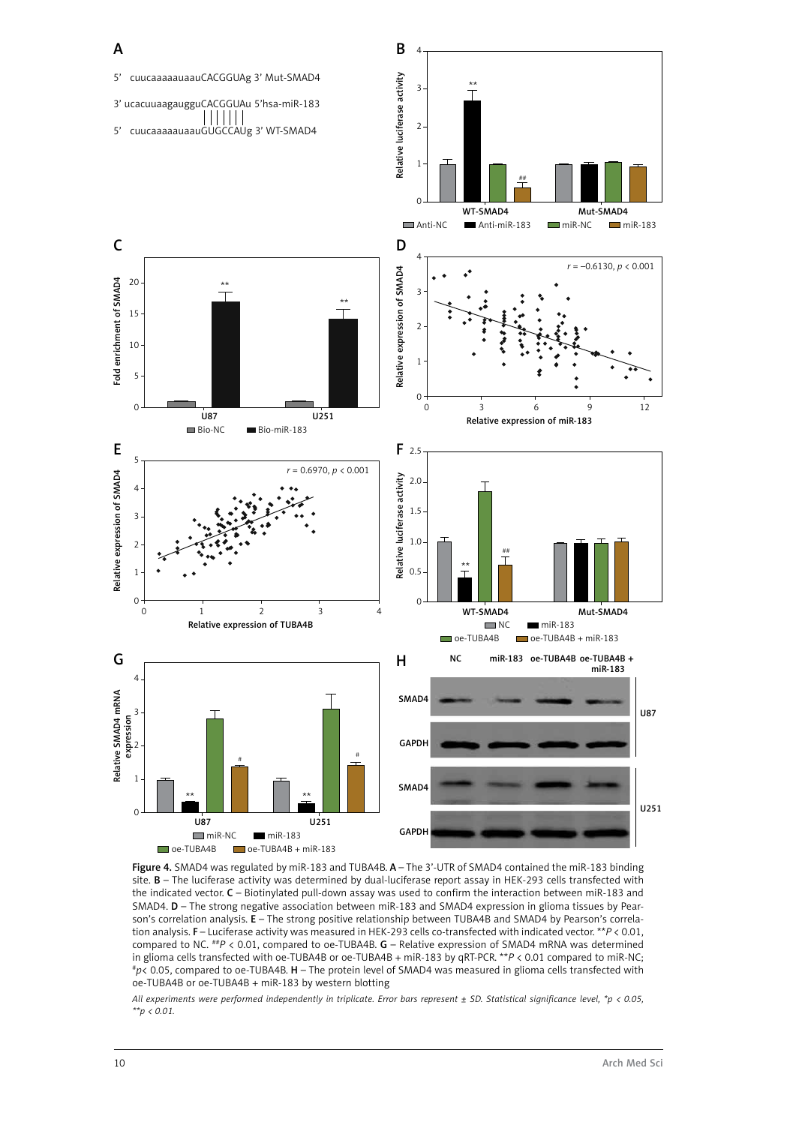

Figure 4. SMAD4 was regulated by miR-183 and TUBA4B. A - The 3'-UTR of SMAD4 contained the miR-183 binding site. B – The luciferase activity was determined by dual-luciferase report assay in HEK-293 cells transfected with the indicated vector. C – Biotinylated pull-down assay was used to confirm the interaction between miR-183 and SMAD4. D – The strong negative association between miR-183 and SMAD4 expression in glioma tissues by Pearson's correlation analysis. E – The strong positive relationship between TUBA4B and SMAD4 by Pearson's correlation analysis. F – Luciferase activity was measured in HEK-293 cells co-transfected with indicated vector. \*\**P* < 0.01, compared to NC. *##P* < 0.01, compared to oe-TUBA4B. **G** – Relative expression of SMAD4 mRNA was determined in glioma cells transfected with oe-TUBA4B or oe-TUBA4B + miR-183 by qRT-PCR. \*\**P* < 0.01 compared to miR-NC; #p< 0.05, compared to oe-TUBA4B. H - The protein level of SMAD4 was measured in glioma cells transfected with oe-TUBA4B or oe-TUBA4B + miR-183 by western blotting

*All experiments were performed independently in triplicate. Error bars represent ± SD. Statistical significance level, \*p < 0.05, \*\*p < 0.01.*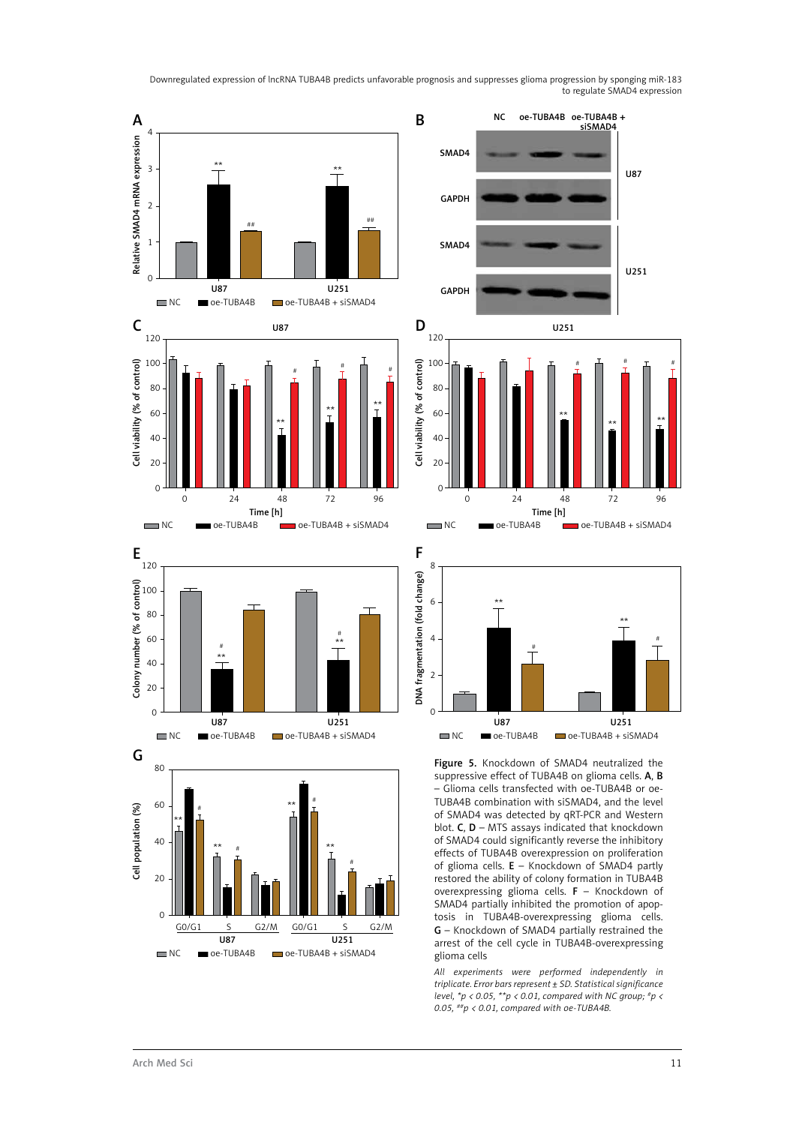

 $\overline{0}$ 

G0/G1 S G2/M G0/G1 S G2/M U87 U251 NC oe-TUBA4B oe-TUBA4B + siSMAD4

overexpressing glioma cells. F – Knockdown of SMAD4 partially inhibited the promotion of apoptosis in TUBA4B-overexpressing glioma cells. G – Knockdown of SMAD4 partially restrained the arrest of the cell cycle in TUBA4B-overexpressing

*All experiments were performed independently in triplicate. Error bars represent ± SD. Statistical significance level, \*p < 0.05, \*\*p < 0.01, compared with NC group; #p <* 

*0.05, ##p < 0.01, compared with oe-TUBA4B.*

glioma cells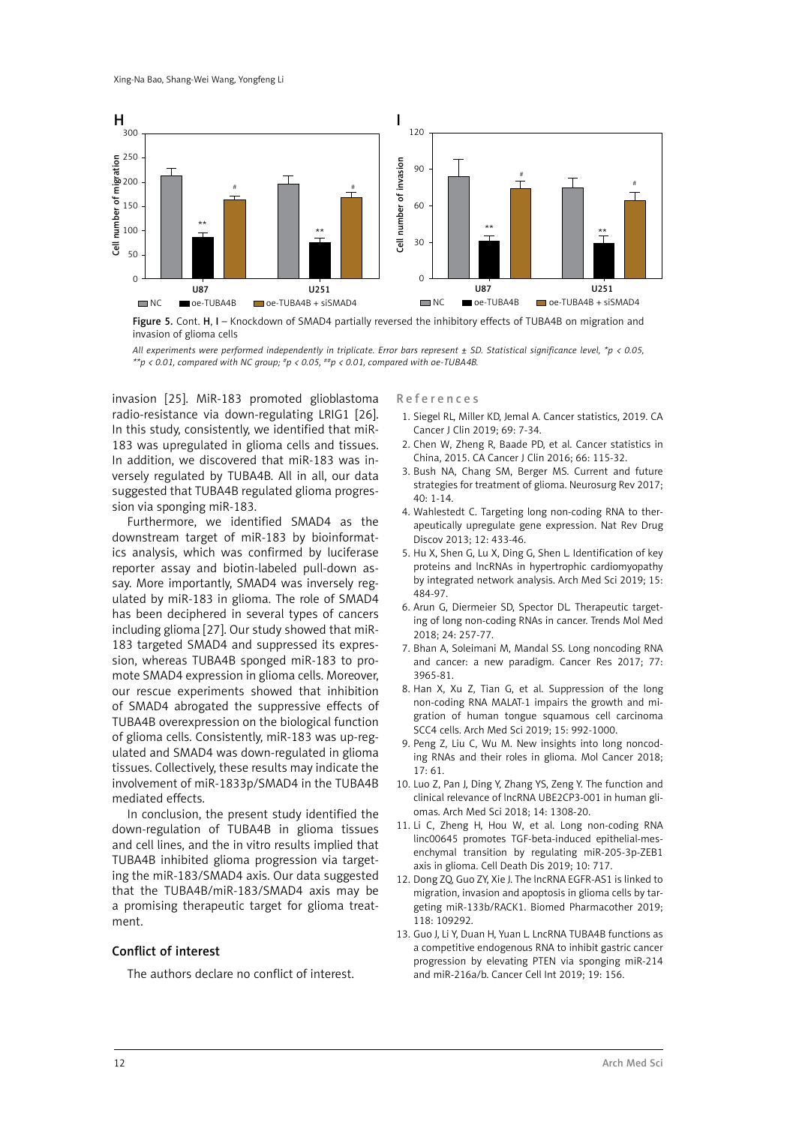

Figure 5. Cont. H, I – Knockdown of SMAD4 partially reversed the inhibitory effects of TUBA4B on migration and invasion of glioma cells

*All experiments were performed independently in triplicate. Error bars represent ± SD. Statistical significance level, \*p < 0.05, \*\*p < 0.01, compared with NC group; #p < 0.05, ##p < 0.01, compared with oe-TUBA4B.*

invasion [25]. MiR-183 promoted glioblastoma radio-resistance via down-regulating LRIG1 [26]. In this study, consistently, we identified that miR-183 was upregulated in glioma cells and tissues. In addition, we discovered that miR-183 was inversely regulated by TUBA4B. All in all, our data suggested that TUBA4B regulated glioma progression via sponging miR-183.

Furthermore, we identified SMAD4 as the downstream target of miR-183 by bioinformatics analysis, which was confirmed by luciferase reporter assay and biotin-labeled pull-down assay. More importantly, SMAD4 was inversely regulated by miR-183 in glioma. The role of SMAD4 has been deciphered in several types of cancers including glioma [27]. Our study showed that miR-183 targeted SMAD4 and suppressed its expression, whereas TUBA4B sponged miR-183 to promote SMAD4 expression in glioma cells. Moreover, our rescue experiments showed that inhibition of SMAD4 abrogated the suppressive effects of TUBA4B overexpression on the biological function of glioma cells. Consistently, miR-183 was up-regulated and SMAD4 was down-regulated in glioma tissues. Collectively, these results may indicate the involvement of miR-1833p/SMAD4 in the TUBA4B mediated effects.

In conclusion, the present study identified the down-regulation of TUBA4B in glioma tissues and cell lines, and the in vitro results implied that TUBA4B inhibited glioma progression via targeting the miR-183/SMAD4 axis. Our data suggested that the TUBA4B/miR-183/SMAD4 axis may be a promising therapeutic target for glioma treatment.

#### Conflict of interest

The authors declare no conflict of interest.

References

- 1. Siegel RL, Miller KD, Jemal A. Cancer statistics, 2019. CA Cancer J Clin 2019; 69: 7-34.
- 2. Chen W, Zheng R, Baade PD, et al. Cancer statistics in China, 2015. CA Cancer J Clin 2016; 66: 115-32.
- 3. Bush NA, Chang SM, Berger MS. Current and future strategies for treatment of glioma. Neurosurg Rev 2017;  $40:1-14$ .
- 4. Wahlestedt C. Targeting long non-coding RNA to therapeutically upregulate gene expression. Nat Rev Drug Discov 2013; 12: 433-46.
- 5. Hu X, Shen G, Lu X, Ding G, Shen L. Identification of key proteins and lncRNAs in hypertrophic cardiomyopathy by integrated network analysis. Arch Med Sci 2019; 15: 484-97.
- 6. Arun G, Diermeier SD, Spector DL. Therapeutic targeting of long non-coding RNAs in cancer. Trends Mol Med 2018; 24: 257-77.
- 7. Bhan A, Soleimani M, Mandal SS. Long noncoding RNA and cancer: a new paradigm. Cancer Res 2017; 77: 3965-81.
- 8. Han X, Xu Z, Tian G, et al. Suppression of the long non-coding RNA MALAT-1 impairs the growth and migration of human tongue squamous cell carcinoma SCC4 cells. Arch Med Sci 2019; 15: 992-1000.
- 9. Peng Z, Liu C, Wu M. New insights into long noncoding RNAs and their roles in glioma. Mol Cancer 2018;  $17:61.$
- 10. Luo Z, Pan J, Ding Y, Zhang YS, Zeng Y. The function and clinical relevance of lncRNA UBE2CP3-001 in human gliomas. Arch Med Sci 2018; 14: 1308-20.
- 11. Li C, Zheng H, Hou W, et al. Long non-coding RNA linc00645 promotes TGF-beta-induced epithelial-mesenchymal transition by regulating miR-205-3p-ZEB1 axis in glioma. Cell Death Dis 2019; 10: 717.
- 12. Dong ZQ, Guo ZY, Xie J. The lncRNA EGFR-AS1 is linked to migration, invasion and apoptosis in glioma cells by targeting miR-133b/RACK1. Biomed Pharmacother 2019; 118: 109292.
- 13. Guo J, Li Y, Duan H, Yuan L. LncRNA TUBA4B functions as a competitive endogenous RNA to inhibit gastric cancer progression by elevating PTEN via sponging miR-214 and miR-216a/b. Cancer Cell Int 2019; 19: 156.